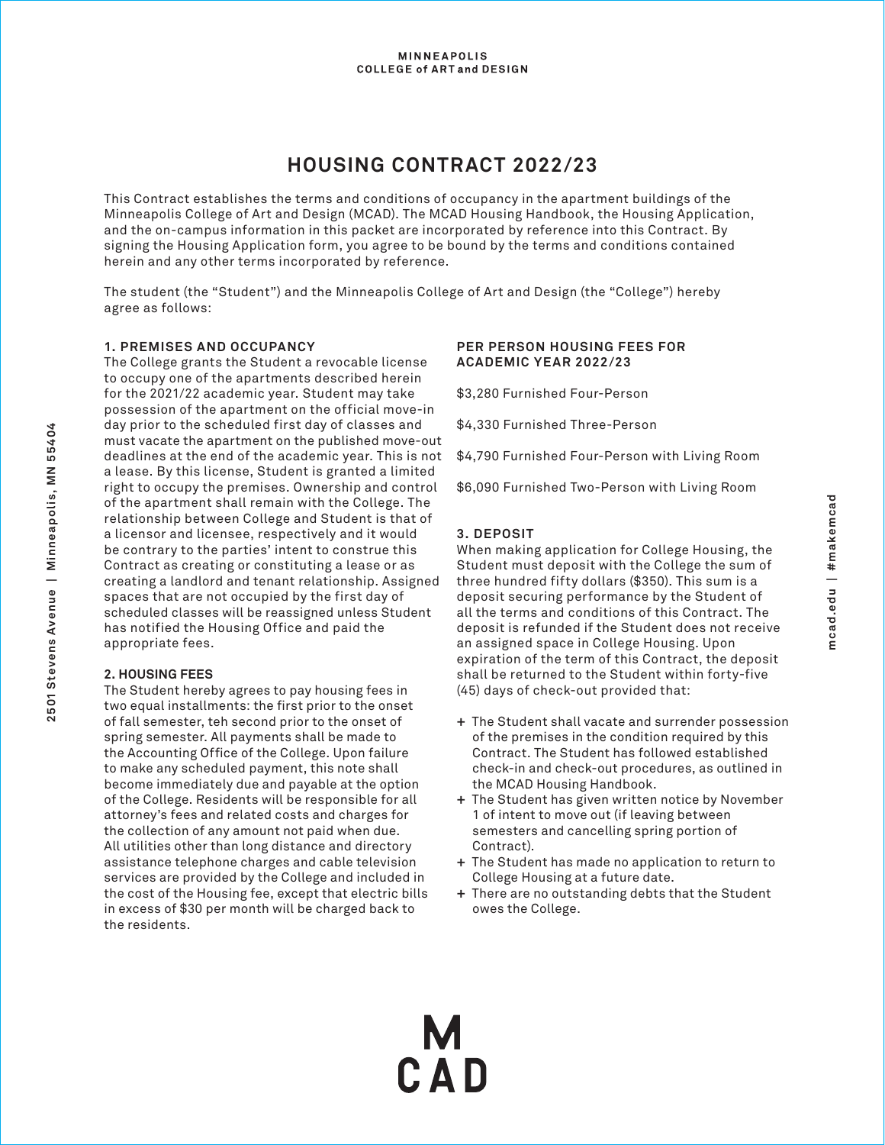# **HOUSING CONTRACT 2022/23**

This Contract establishes the terms and conditions of occupancy in the apartment buildings of the Minneapolis College of Art and Design (MCAD). The MCAD Housing Handbook, the Housing Application, and the on-campus information in this packet are incorporated by reference into this Contract. By signing the Housing Application form, you agree to be bound by the terms and conditions contained herein and any other terms incorporated by reference.

The student (the "Student") and the Minneapolis College of Art and Design (the "College") hereby agree as follows:

### **1. PREMISES AND OCCUPANCY**

The College grants the Student a revocable license to occupy one of the apartments described herein for the 2021/22 academic year. Student may take possession of the apartment on the official move-in day prior to the scheduled first day of classes and must vacate the apartment on the published move-out deadlines at the end of the academic year. This is not a lease. By this license, Student is granted a limited right to occupy the premises. Ownership and control of the apartment shall remain with the College. The relationship between College and Student is that of a licensor and licensee, respectively and it would be contrary to the parties' intent to construe this Contract as creating or constituting a lease or as creating a landlord and tenant relationship. Assigned spaces that are not occupied by the first day of scheduled classes will be reassigned unless Student has notified the Housing Office and paid the appropriate fees.

#### **2. HOUSING FEES**

The Student hereby agrees to pay housing fees in two equal installments: the first prior to the onset of fall semester, teh second prior to the onset of spring semester. All payments shall be made to the Accounting Office of the College. Upon failure to make any scheduled payment, this note shall become immediately due and payable at the option of the College. Residents will be responsible for all attorney's fees and related costs and charges for the collection of any amount not paid when due. All utilities other than long distance and directory assistance telephone charges and cable television services are provided by the College and included in the cost of the Housing fee, except that electric bills in excess of \$30 per month will be charged back to the residents.

#### **PER PERSON HOUSING FEES FOR ACADEMIC YEAR 2022/23**

\$3,280 Furnished Four-Person

\$4,330 Furnished Three-Person

\$4,790 Furnished Four-Person with Living Room

\$6,090 Furnished Two-Person with Living Room

# **3. DEPOSIT**

M<br>CAD

When making application for College Housing, the Student must deposit with the College the sum of three hundred fifty dollars (\$350). This sum is a deposit securing performance by the Student of all the terms and conditions of this Contract. The deposit is refunded if the Student does not receive an assigned space in College Housing. Upon expiration of the term of this Contract, the deposit shall be returned to the Student within forty-five (45) days of check-out provided that:

- **+** The Student shall vacate and surrender possession of the premises in the condition required by this Contract. The Student has followed established check-in and check-out procedures, as outlined in the MCAD Housing Handbook.
- **+** The Student has given written notice by November 1 of intent to move out (if leaving between semesters and cancelling spring portion of Contract).
- **+** The Student has made no application to return to College Housing at a future date.
- **+** There are no outstanding debts that the Student owes the College.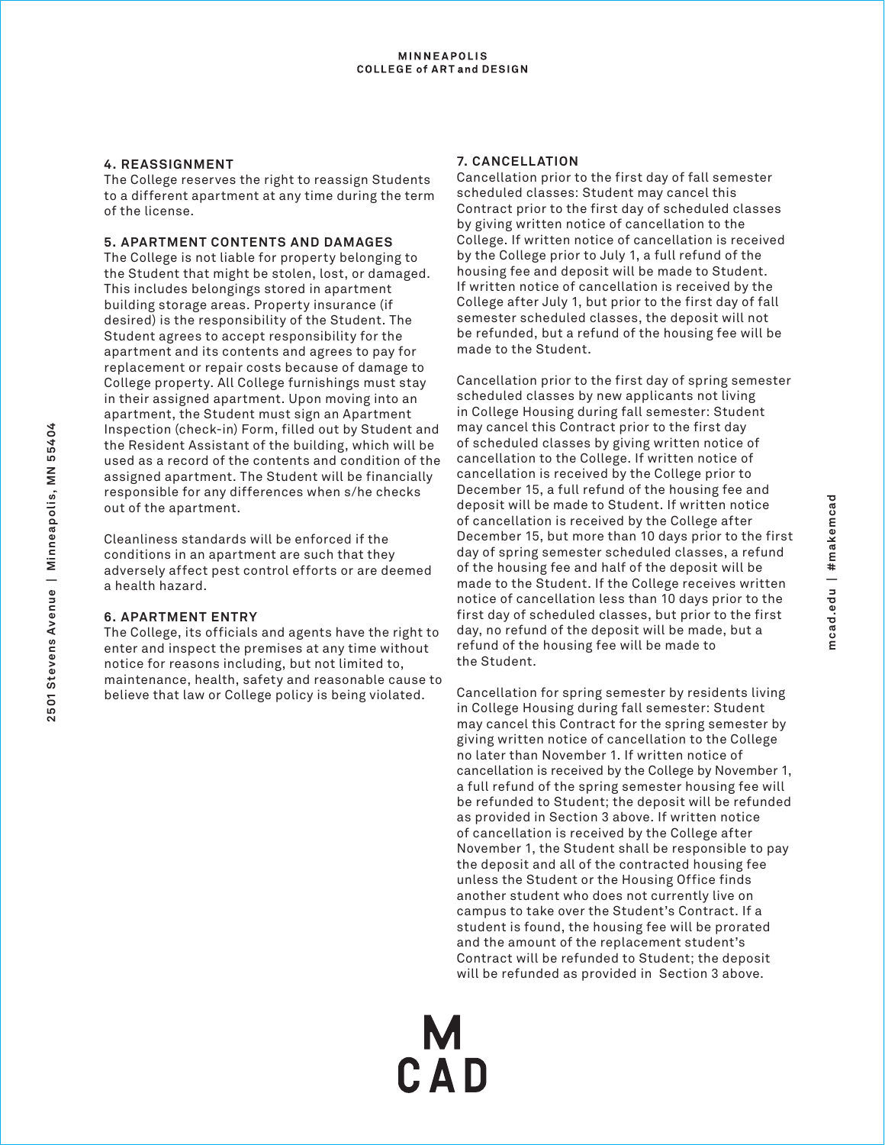### **4. REASSIGNMENT**

The College reserves the right to reassign Students to a different apartment at any time during the term of the license.

## **5. APARTMENT CONTENTS AND DAMAGES**

The College is not liable for property belonging to the Student that might be stolen, lost, or damaged. This includes belongings stored in apartment building storage areas. Property insurance (if desired) is the responsibility of the Student. The Student agrees to accept responsibility for the apartment and its contents and agrees to pay for replacement or repair costs because of damage to College property. All College furnishings must stay in their assigned apartment. Upon moving into an apartment, the Student must sign an Apartment Inspection (check-in) Form, filled out by Student and the Resident Assistant of the building, which will be used as a record of the contents and condition of the assigned apartment. The Student will be financially responsible for any differences when s/he checks out of the apartment.

Cleanliness standards will be enforced if the conditions in an apartment are such that they adversely affect pest control efforts or are deemed a health hazard.

# **6. APARTMENT ENTRY**

The College, its officials and agents have the right to enter and inspect the premises at any time without notice for reasons including, but not limited to, maintenance, health, safety and reasonable cause to believe that law or College policy is being violated.

#### **7. CANCELL ATION**

Cancellation prior to the first day of fall semester scheduled classes: Student may cancel this Contract prior to the first day of scheduled classes by giving written notice of cancellation to the College. If written notice of cancellation is received by the College prior to July 1, a full refund of the housing fee and deposit will be made to Student. If written notice of cancellation is received by the College after July 1, but prior to the first day of fall semester scheduled classes, the deposit will not be refunded, but a refund of the housing fee will be made to the Student.

Cancellation prior to the first day of spring semester scheduled classes by new applicants not living in College Housing during fall semester: Student may cancel this Contract prior to the first day of scheduled classes by giving written notice of cancellation to the College. If written notice of cancellation is received by the College prior to December 15, a full refund of the housing fee and deposit will be made to Student. If written notice of cancellation is received by the College after December 15, but more than 10 days prior to the first day of spring semester scheduled classes, a refund of the housing fee and half of the deposit will be made to the Student. If the College receives written notice of cancellation less than 10 days prior to the first day of scheduled classes, but prior to the first day, no refund of the deposit will be made, but a refund of the housing fee will be made to the Student.

Cancellation for spring semester by residents living in College Housing during fall semester: Student may cancel this Contract for the spring semester by giving written notice of cancellation to the College no later than November 1. If written notice of cancellation is received by the College by November 1, a full refund of the spring semester housing fee will be refunded to Student; the deposit will be refunded as provided in Section 3 above. If written notice of cancellation is received by the College after November 1, the Student shall be responsible to pay the deposit and all of the contracted housing fee unless the Student or the Housing Office finds another student who does not currently live on campus to take over the Student's Contract. If a student is found, the housing fee will be prorated and the amount of the replacement student's Contract will be refunded to Student; the deposit will be refunded as provided in Section 3 above.